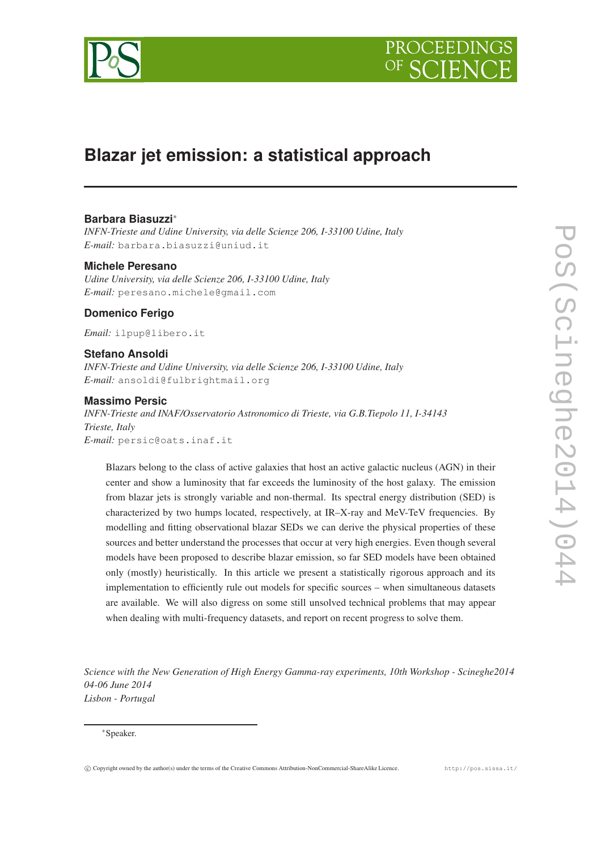

# **Blazar jet emission: a statistical approach**

# **Barbara Biasuzzi**∗

*INFN-Trieste and Udine University, via delle Scienze 206, I-33100 Udine, Italy E-mail:* barbara.biasuzzi@uniud.it

#### **Michele Peresano**

*Udine University, via delle Scienze 206, I-33100 Udine, Italy E-mail:* peresano.michele@gmail.com

## **Domenico Ferigo**

*Email:* ilpup@libero.it

### **Stefano Ansoldi**

*INFN-Trieste and Udine University, via delle Scienze 206, I-33100 Udine, Italy E-mail:* ansoldi@fulbrightmail.org

### **Massimo Persic**

*INFN-Trieste and INAF/Osservatorio Astronomico di Trieste, via G.B.Tiepolo 11, I-34143 Trieste, Italy E-mail:* persic@oats.inaf.it

Blazars belong to the class of active galaxies that host an active galactic nucleus (AGN) in their center and show a luminosity that far exceeds the luminosity of the host galaxy. The emission from blazar jets is strongly variable and non-thermal. Its spectral energy distribution (SED) is characterized by two humps located, respectively, at IR–X-ray and MeV-TeV frequencies. By modelling and fitting observational blazar SEDs we can derive the physical properties of these sources and better understand the processes that occur at very high energies. Even though several models have been proposed to describe blazar emission, so far SED models have been obtained only (mostly) heuristically. In this article we present a statistically rigorous approach and its implementation to efficiently rule out models for specific sources – when simultaneous datasets are available. We will also digress on some still unsolved technical problems that may appear when dealing with multi-frequency datasets, and report on recent progress to solve them.

*Science with the New Generation of High Energy Gamma-ray experiments, 10th Workshop - Scineghe2014 04-06 June 2014 Lisbon - Portugal*

#### ∗Speaker.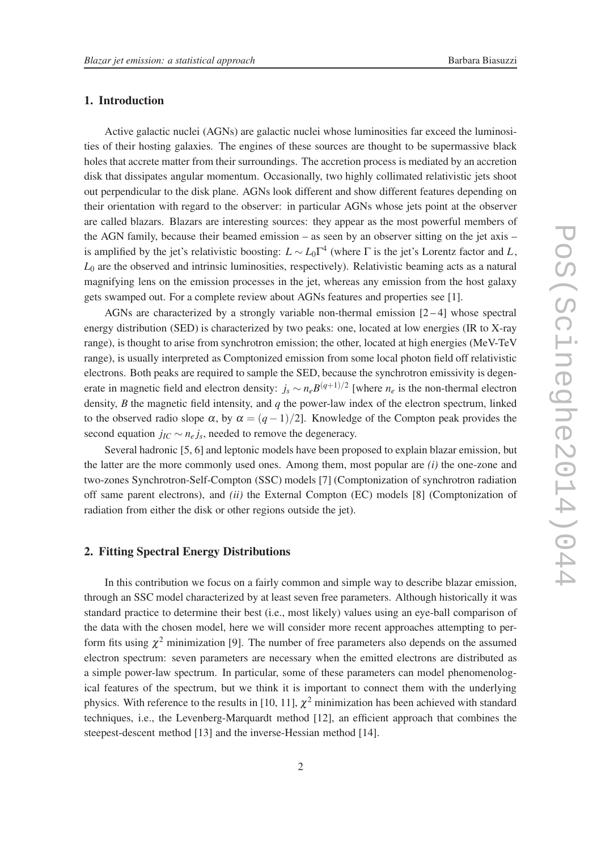#### 1. Introduction

Active galactic nuclei (AGNs) are galactic nuclei whose luminosities far exceed the luminosities of their hosting galaxies. The engines of these sources are thought to be supermassive black holes that accrete matter from their surroundings. The accretion process is mediated by an accretion disk that dissipates angular momentum. Occasionally, two highly collimated relativistic jets shoot out perpendicular to the disk plane. AGNs look different and show different features depending on their orientation with regard to the observer: in particular AGNs whose jets point at the observer are called blazars. Blazars are interesting sources: they appear as the most powerful members of the AGN family, because their beamed emission – as seen by an observer sitting on the jet axis – is amplified by the jet's relativistic boosting:  $L \sim L_0 \Gamma^4$  (where  $\Gamma$  is the jet's Lorentz factor and *L*, *L*<sup>0</sup> are the observed and intrinsic luminosities, respectively). Relativistic beaming acts as a natural magnifying lens on the emission processes in the jet, whereas any emission from the host galaxy gets swamped out. For a complete review about AGNs features and properties see [1].

AGNs are characterized by a strongly variable non-thermal emission  $[2-4]$  whose spectral energy distribution (SED) is characterized by two peaks: one, located at low energies (IR to X-ray range), is thought to arise from synchrotron emission; the other, located at high energies (MeV-TeV range), is usually interpreted as Comptonized emission from some local photon field off relativistic electrons. Both peaks are required to sample the SED, because the synchrotron emissivity is degenerate in magnetic field and electron density:  $j_s \sim n_e B^{(q+1)/2}$  [where  $n_e$  is the non-thermal electron density, *B* the magnetic field intensity, and *q* the power-law index of the electron spectrum, linked to the observed radio slope  $\alpha$ , by  $\alpha = (q-1)/2$ . Knowledge of the Compton peak provides the second equation  $j_{IC} \sim n_e j_s$ , needed to remove the degeneracy.

Several hadronic [5, 6] and leptonic models have been proposed to explain blazar emission, but the latter are the more commonly used ones. Among them, most popular are *(i)* the one-zone and two-zones Synchrotron-Self-Compton (SSC) models [7] (Comptonization of synchrotron radiation off same parent electrons), and *(ii)* the External Compton (EC) models [8] (Comptonization of radiation from either the disk or other regions outside the jet).

#### 2. Fitting Spectral Energy Distributions

In this contribution we focus on a fairly common and simple way to describe blazar emission, through an SSC model characterized by at least seven free parameters. Although historically it was standard practice to determine their best (i.e., most likely) values using an eye-ball comparison of the data with the chosen model, here we will consider more recent approaches attempting to perform fits using  $\chi^2$  minimization [9]. The number of free parameters also depends on the assumed electron spectrum: seven parameters are necessary when the emitted electrons are distributed as a simple power-law spectrum. In particular, some of these parameters can model phenomenological features of the spectrum, but we think it is important to connect them with the underlying physics. With reference to the results in [10, 11],  $\chi^2$  minimization has been achieved with standard techniques, i.e., the Levenberg-Marquardt method [12], an efficient approach that combines the steepest-descent method [13] and the inverse-Hessian method [14].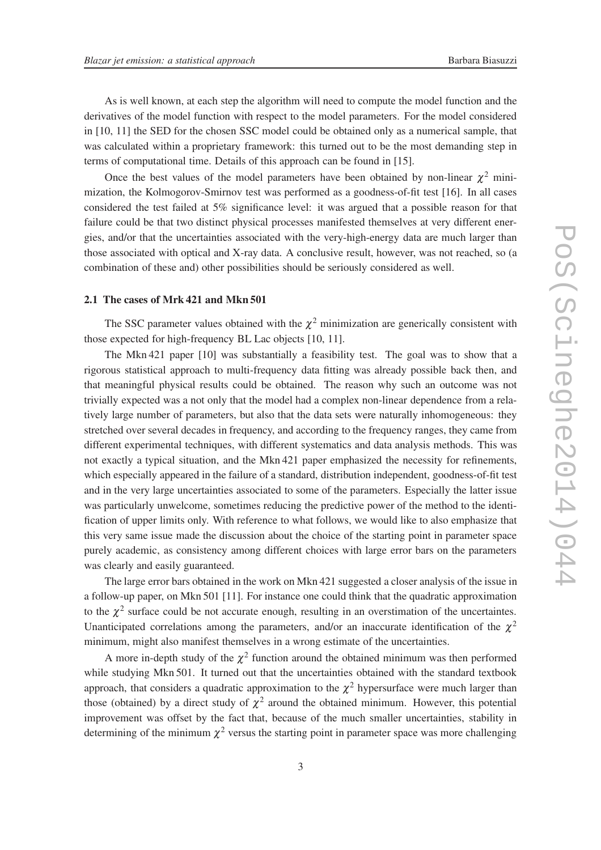As is well known, at each step the algorithm will need to compute the model function and the derivatives of the model function with respect to the model parameters. For the model considered in [10, 11] the SED for the chosen SSC model could be obtained only as a numerical sample, that was calculated within a proprietary framework: this turned out to be the most demanding step in terms of computational time. Details of this approach can be found in [15].

Once the best values of the model parameters have been obtained by non-linear  $\chi^2$  minimization, the Kolmogorov-Smirnov test was performed as a goodness-of-fit test [16]. In all cases considered the test failed at 5% significance level: it was argued that a possible reason for that failure could be that two distinct physical processes manifested themselves at very different energies, and/or that the uncertainties associated with the very-high-energy data are much larger than those associated with optical and X-ray data. A conclusive result, however, was not reached, so (a combination of these and) other possibilities should be seriously considered as well.

#### 2.1 The cases of Mrk 421 and Mkn 501

The SSC parameter values obtained with the  $\chi^2$  minimization are generically consistent with those expected for high-frequency BL Lac objects [10, 11].

The Mkn 421 paper [10] was substantially a feasibility test. The goal was to show that a rigorous statistical approach to multi-frequency data fitting was already possible back then, and that meaningful physical results could be obtained. The reason why such an outcome was not trivially expected was a not only that the model had a complex non-linear dependence from a relatively large number of parameters, but also that the data sets were naturally inhomogeneous: they stretched over several decades in frequency, and according to the frequency ranges, they came from different experimental techniques, with different systematics and data analysis methods. This was not exactly a typical situation, and the Mkn 421 paper emphasized the necessity for refinements, which especially appeared in the failure of a standard, distribution independent, goodness-of-fit test and in the very large uncertainties associated to some of the parameters. Especially the latter issue was particularly unwelcome, sometimes reducing the predictive power of the method to the identification of upper limits only. With reference to what follows, we would like to also emphasize that this very same issue made the discussion about the choice of the starting point in parameter space purely academic, as consistency among different choices with large error bars on the parameters was clearly and easily guaranteed.

The large error bars obtained in the work on Mkn 421 suggested a closer analysis of the issue in a follow-up paper, on Mkn 501 [11]. For instance one could think that the quadratic approximation to the  $\chi^2$  surface could be not accurate enough, resulting in an overstimation of the uncertaintes. Unanticipated correlations among the parameters, and/or an inaccurate identification of the  $\chi^2$ minimum, might also manifest themselves in a wrong estimate of the uncertainties.

A more in-depth study of the  $\chi^2$  function around the obtained minimum was then performed while studying Mkn 501. It turned out that the uncertainties obtained with the standard textbook approach, that considers a quadratic approximation to the  $\chi^2$  hypersurface were much larger than those (obtained) by a direct study of  $\chi^2$  around the obtained minimum. However, this potential improvement was offset by the fact that, because of the much smaller uncertainties, stability in determining of the minimum  $\chi^2$  versus the starting point in parameter space was more challenging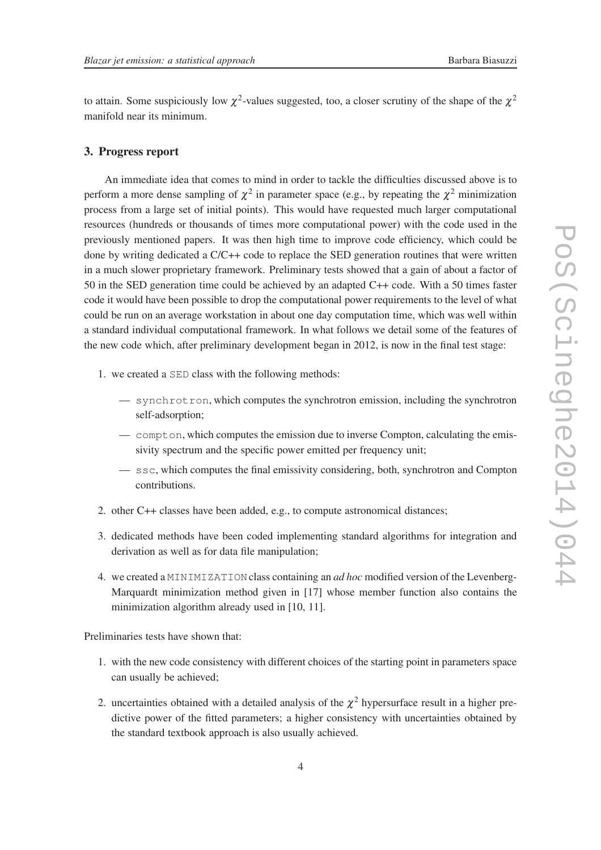to attain. Some suspiciously low  $\chi^2$ -values suggested, too, a closer scrutiny of the shape of the  $\chi^2$ manifold near its minimum.

### 3. Progress report

An immediate idea that comes to mind in order to tackle the difficulties discussed above is to perform a more dense sampling of  $\chi^2$  in parameter space (e.g., by repeating the  $\chi^2$  minimization process from a large set of initial points). This would have requested much larger computational resources (hundreds or thousands of times more computational power) with the code used in the previously mentioned papers. It was then high time to improve code efficiency, which could be done by writing dedicated a C/C++ code to replace the SED generation routines that were written in a much slower proprietary framework. Preliminary tests showed that a gain of about a factor of 50 in the SED generation time could be achieved by an adapted C++ code. With a 50 times faster code it would have been possible to drop the computational power requirements to the level of what could be run on an average workstation in about one day computation time, which was well within a standard individual computational framework. In what follows we detail some of the features of the new code which, after preliminary development began in 2012, is now in the final test stage:

- 1. we created a SED class with the following methods:
	- synchrotron, which computes the synchrotron emission, including the synchrotron self-adsorption;
	- compton, which computes the emission due to inverse Compton, calculating the emissivity spectrum and the specific power emitted per frequency unit;
	- ssc, which computes the final emissivity considering, both, synchrotron and Compton contributions.
- 2. other C++ classes have been added, e.g., to compute astronomical distances;
- 3. dedicated methods have been coded implementing standard algorithms for integration and derivation as well as for data file manipulation;
- 4. we created a MINIMIZATION class containing an *ad hoc* modified version of the Levenberg-Marquardt minimization method given in [17] whose member function also contains the minimization algorithm already used in [10, 11].

Preliminaries tests have shown that:

- 1. with the new code consistency with different choices of the starting point in parameters space can usually be achieved;
- 2. uncertainties obtained with a detailed analysis of the  $\chi^2$  hypersurface result in a higher predictive power of the fitted parameters; a higher consistency with uncertainties obtained by the standard textbook approach is also usually achieved.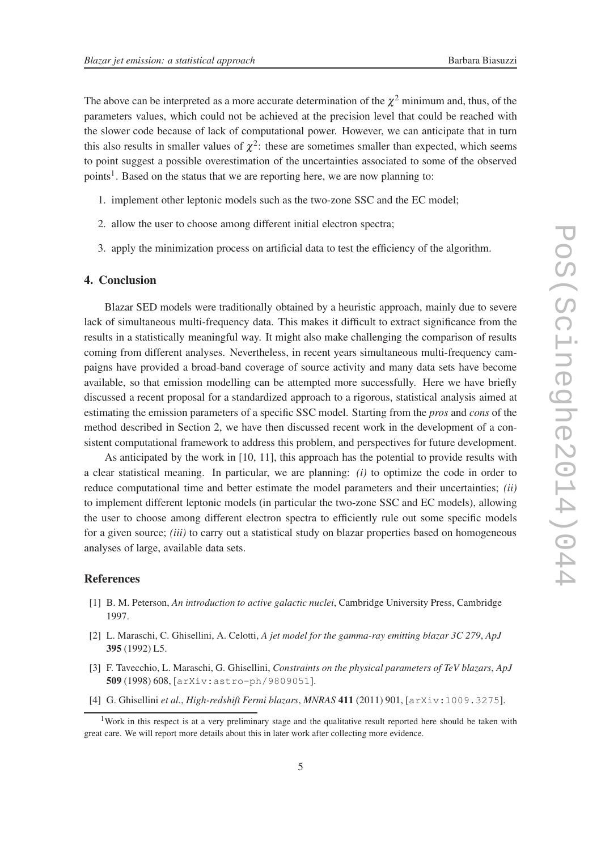The above can be interpreted as a more accurate determination of the  $\chi^2$  minimum and, thus, of the parameters values, which could not be achieved at the precision level that could be reached with the slower code because of lack of computational power. However, we can anticipate that in turn this also results in smaller values of  $\chi^2$ : these are sometimes smaller than expected, which seems to point suggest a possible overestimation of the uncertainties associated to some of the observed points<sup>1</sup>. Based on the status that we are reporting here, we are now planning to:

- 1. implement other leptonic models such as the two-zone SSC and the EC model;
- 2. allow the user to choose among different initial electron spectra;
- 3. apply the minimization process on artificial data to test the efficiency of the algorithm.

#### 4. Conclusion

Blazar SED models were traditionally obtained by a heuristic approach, mainly due to severe lack of simultaneous multi-frequency data. This makes it difficult to extract significance from the results in a statistically meaningful way. It might also make challenging the comparison of results coming from different analyses. Nevertheless, in recent years simultaneous multi-frequency campaigns have provided a broad-band coverage of source activity and many data sets have become available, so that emission modelling can be attempted more successfully. Here we have briefly discussed a recent proposal for a standardized approach to a rigorous, statistical analysis aimed at estimating the emission parameters of a specific SSC model. Starting from the *pros* and *cons* of the method described in Section 2, we have then discussed recent work in the development of a consistent computational framework to address this problem, and perspectives for future development.

As anticipated by the work in [10, 11], this approach has the potential to provide results with a clear statistical meaning. In particular, we are planning: *(i)* to optimize the code in order to reduce computational time and better estimate the model parameters and their uncertainties; *(ii)* to implement different leptonic models (in particular the two-zone SSC and EC models), allowing the user to choose among different electron spectra to efficiently rule out some specific models for a given source; *(iii)* to carry out a statistical study on blazar properties based on homogeneous analyses of large, available data sets.

## **References**

- [1] B. M. Peterson, *An introduction to active galactic nuclei*, Cambridge University Press, Cambridge 1997.
- [2] L. Maraschi, C. Ghisellini, A. Celotti, *A jet model for the gamma-ray emitting blazar 3C 279*, *ApJ* 395 (1992) L5.
- [3] F. Tavecchio, L. Maraschi, G. Ghisellini, *Constraints on the physical parameters of TeV blazars*, *ApJ* 509 (1998) 608, [arXiv:astro-ph/9809051].
- [4] G. Ghisellini *et al.*, *High-redshift Fermi blazars*, *MNRAS* 411 (2011) 901, [arXiv:1009.3275].

<sup>&</sup>lt;sup>1</sup>Work in this respect is at a very preliminary stage and the qualitative result reported here should be taken with great care. We will report more details about this in later work after collecting more evidence.